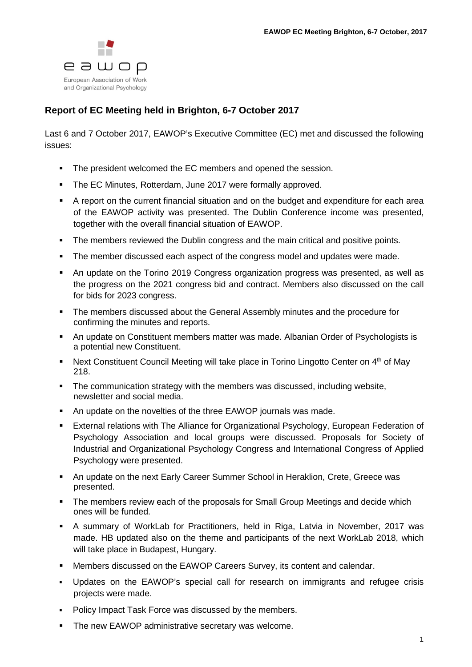

## **Report of EC Meeting held in Brighton, 6-7 October 2017**

Last 6 and 7 October 2017, EAWOP's Executive Committee (EC) met and discussed the following issues:

- The president welcomed the EC members and opened the session.
- **The EC Minutes, Rotterdam, June 2017 were formally approved.**
- A report on the current financial situation and on the budget and expenditure for each area of the EAWOP activity was presented. The Dublin Conference income was presented, together with the overall financial situation of EAWOP.
- The members reviewed the Dublin congress and the main critical and positive points.
- The member discussed each aspect of the congress model and updates were made.
- An update on the Torino 2019 Congress organization progress was presented, as well as the progress on the 2021 congress bid and contract. Members also discussed on the call for bids for 2023 congress.
- The members discussed about the General Assembly minutes and the procedure for confirming the minutes and reports.
- An update on Constituent members matter was made. Albanian Order of Psychologists is a potential new Constituent.
- Next Constituent Council Meeting will take place in Torino Lingotto Center on  $4<sup>th</sup>$  of May 218.
- The communication strategy with the members was discussed, including website, newsletter and social media.
- An update on the novelties of the three EAWOP journals was made.
- External relations with The Alliance for Organizational Psychology, European Federation of Psychology Association and local groups were discussed. Proposals for Society of Industrial and Organizational Psychology Congress and International Congress of Applied Psychology were presented.
- An update on the next Early Career Summer School in Heraklion, Crete, Greece was presented.
- The members review each of the proposals for Small Group Meetings and decide which ones will be funded.
- A summary of WorkLab for Practitioners, held in Riga, Latvia in November, 2017 was made. HB updated also on the theme and participants of the next WorkLab 2018, which will take place in Budapest, Hungary.
- Members discussed on the EAWOP Careers Survey, its content and calendar.
- Updates on the EAWOP's special call for research on immigrants and refugee crisis projects were made.
- Policy Impact Task Force was discussed by the members.
- **The new EAWOP administrative secretary was welcome.**